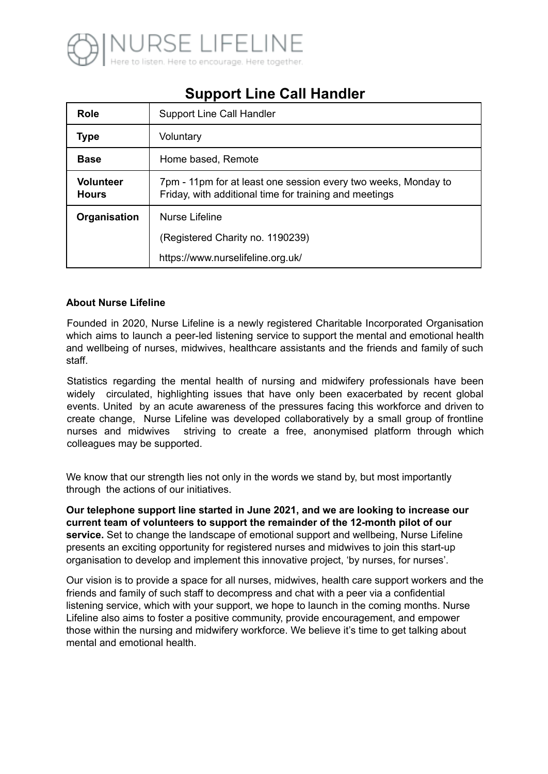

# **Support Line Call Handler**

| <b>Role</b>                      | <b>Support Line Call Handler</b>                                                                                         |
|----------------------------------|--------------------------------------------------------------------------------------------------------------------------|
| <b>Type</b>                      | Voluntary                                                                                                                |
| <b>Base</b>                      | Home based, Remote                                                                                                       |
| <b>Volunteer</b><br><b>Hours</b> | 7pm - 11pm for at least one session every two weeks, Monday to<br>Friday, with additional time for training and meetings |
| Organisation                     | <b>Nurse Lifeline</b>                                                                                                    |
|                                  | (Registered Charity no. 1190239)                                                                                         |
|                                  | https://www.nurselifeline.org.uk/                                                                                        |

### **About Nurse Lifeline**

Founded in 2020, Nurse Lifeline is a newly registered Charitable Incorporated Organisation which aims to launch a peer-led listening service to support the mental and emotional health and wellbeing of nurses, midwives, healthcare assistants and the friends and family of such staff.

Statistics regarding the mental health of nursing and midwifery professionals have been widely circulated, highlighting issues that have only been exacerbated by recent global events. United by an acute awareness of the pressures facing this workforce and driven to create change, Nurse Lifeline was developed collaboratively by a small group of frontline nurses and midwives striving to create a free, anonymised platform through which colleagues may be supported.

We know that our strength lies not only in the words we stand by, but most importantly through the actions of our initiatives.

**Our telephone support line started in June 2021, and we are looking to increase our current team of volunteers to support the remainder of the 12-month pilot of our service.** Set to change the landscape of emotional support and wellbeing, Nurse Lifeline presents an exciting opportunity for registered nurses and midwives to join this start-up organisation to develop and implement this innovative project, 'by nurses, for nurses'.

Our vision is to provide a space for all nurses, midwives, health care support workers and the friends and family of such staff to decompress and chat with a peer via a confidential listening service, which with your support, we hope to launch in the coming months. Nurse Lifeline also aims to foster a positive community, provide encouragement, and empower those within the nursing and midwifery workforce. We believe it's time to get talking about mental and emotional health.